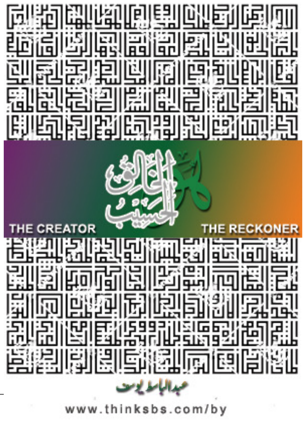

om/by www.thin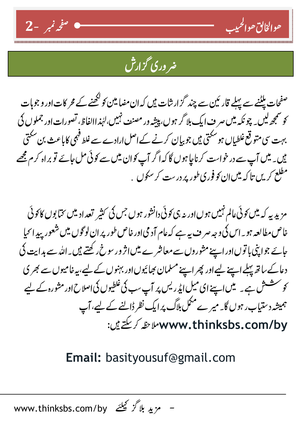

## <u>مروری گزارش</u>

حوالخالق حوالحبيب

۔<br>صفحات ملٹنے سے پہلے قار <sup>پ</sup>ین سے چند گزارشات ہیں کہ ان مضا مین کو کھنے کے محر کات اور و جوہات کو سمجھ لیں۔ چونکہ میں صر ف ایک بلا گر ہوں، پیشہ ور مصنف نہیں،لہٰذ اﷲ نامی تصورات اور جملوں کی بہت سی متوقع غلطیاں ہو سکتی ہیں جو بیان کرنے کےاصل ارادے سے غلط فہمی کاباعث بن سکتی ہیں۔ میں آپ سے در خواست کرناچا ہوں گا کہ اگر آپ کوان میں سے کوئی مل جائے تو براہ کرم مجھے مطلع کریں تا کہ میں ان کو فور<sup>ی طو</sup>ر پر درست کر سکوں <sub>ن</sub>

مزیدیہ کہ میں کوئی عالم نہیں ہوںاور یہ ہی کوئی دانشور ہوں جس کی کثیر تعداد میں نتیا پوں کا کوئی خاص مطالعه ہو۔اس کی وجہ صر ف بہ ہے کہ عام آد می اور خاص طور پر ان لوگوں میں شعور بید انحیا جائے جواپنی با توںاور اپنے مثوروں سے معاشر ے میں اثر وریو خ رکھتے ہیں۔اللہ سے ہدایت دُ) دعاکے ساتھ پہلے اسپنے لیےاور پھر اپنے مسلمان بھائیوںاور بہنوں کے لیے،بہ خامیوں سے بھر ی کو سشش ہے۔ میں اپنے ای میل ایڈریس پر آپ سب کی غلطیوں کی اصلاح اور مثورہ کے لیے ہمیشہ دیتتیاب ر ہوں گا۔ میر ے مکمل بلاگ پر ایک نظر ڈالنے کے لیے، آپ www.thinksbs.com/by ملاحظه كريڪتے ہيں:

## Email: basityousuf@gmail.com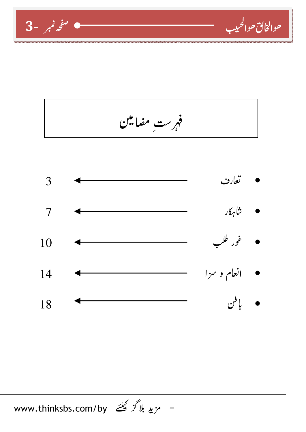



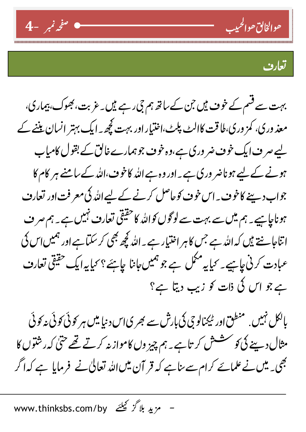



بہت سے قسم کے خوف ہیں جن کے ساتھ ہم جی رہے ہیں۔ عزیت، بھوک، بیماری، معذ وری، کمز وری،طاقت کاالٹ پلٹ،اختیار اور بہت کچھ ۔ ایک بہتر انسان بیننے کے لیے صرف ایک خوف ضر وری ہے،وہ خوف جوہمارے خالق کے بقول کامیاب ہونے کے لیے ہوناضر وری ہے۔اور وہ ہے اللہ کاخوف،اللہ کے سامنے ہر کام کا جواب دیپنے کاخوف ۔اس خوف کوحاصل کرنے کے لیےاللہ کی معرفت اور تعارف ہوناچاہیے۔ ہم میںسے بہت سے لوگوں کواللہ کا حقیقی تعارف نہیں ہے ۔ ہم صر ف اتناجانے ہیں کہ اللہ ہے جس کا ہر اختیار ہے۔اللہ کچھ بھی کر سکتاہے اور ہمیں اس کی عبادت کرنی *چاہیے۔ کی*ا یہ مکمل ہے جو ہمیں *جا*نا *چاہئے؟ کی*ا یہ ایک حقیقی تعارف ہے جو اس کی ذات کو زیب دیتا ہے؟

بالکل نہیں. منطق اور ٹیمنالو چی کی بارش سے بھر ی اس دنیا میں ہر کوئی کوئی نہ کوئی مثال دینے کی *کو س*شش کر تاہے۔ ہم چیز وں کاموازیہ کرتے تھے حتیٰ کہ رشتوں کا بھی۔ میں نے علمائے کرام سے بناہے کہ قر آن میںاللہ تعالیٰ نے فرمایا ہے کہ اگر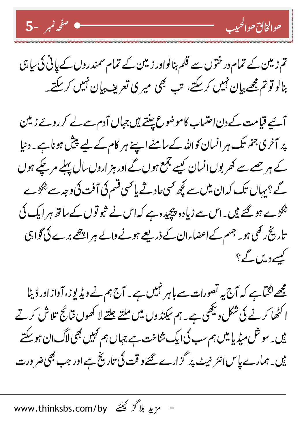



آئیے قیامت کے دن اعتساب کاموضوع چنتے ہیں جہاں آدم سے لے کر روئے زیتین پر آخری جنم تک ہر انسان کواللہ کے سامنے اپنے ہر کام کے لیے پیش ہونا ہے ۔ دنیا کے ہر جسے سے کھر بوں انسان کیسے جمع ہوں گے اور ہز اروں سال پہلے مر چکے ہوں گے؟ بہاں تک کہ ان میں سے کچھ <sup>کس</sup>ی عادثے یا <sup>کس</sup>ی قسم کی آفت کی وجہ سے <sup>پ</sup>کڑے <sup>پھر</sup>وے ہو گئے ہیں۔اس سے زیادہ پیچیدہ ہے کہ اس نے ثبو توں کے ساتھ ہر ایک ٹی تاریخ رکھی ہو۔ جسم کےاعضاءان کے ذریعے ہونے والے ہر اچھے برے کی گواہی کیسے دیں گے؟

مجھے لگتاہے کہ آج یہ تصورات سے باہر نہیں ہے۔ آج ہم نے ویڈیوز، آواز اور ڈیٹا ا کٹھا کرنے کی شکل دیکھی ہے ۔ ہم سکنڈ وں میں ملتے چلتے لا کھوں نتائج تلاش کرتے <sub>یں۔ س</sub>و ش میڈیا میں ہم سب کی ایک شاخت ہے جہاں ہم <sup>کہ</sup>یں بھی لاگ ان ہو سکتے یں۔ہمارے پاس انٹر نہیٹ پر گزارے گئے و قت کی تاریخ ہے اور جب بھی ضر ورت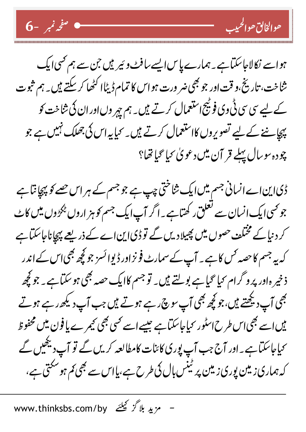ہواسے نکالاجاسکتاہے۔ ہمارے پاس ایسے سافٹ وئیر ہیں جن سے ہم کسی ایک شاخت، تاریخ،و قت اور جو بھی ضر ورت ہواس کا تمام ڈیٹاا کٹھا کر سکتے ہیں۔ ہم ثبوت کے لیے سی سی ٹی وی فوٹیج استعمال کرتے ہیں۔ ہم ہیر وں اور ان کی شاخت کو پہچاننے کے لیے تصویروں کااستعمال کرتے ہیں۔ کیا یہ اس کی جھلک نہیں ہے جو چودہ سوسال پہلے قر آن میں دعویٰ سیا گیاتھا؟

ڈیااین اے انسانی جسم میں ایک شاختی چپ ہے جو جسم کے ہر اس حصے کو پیچا نتا ہے جو <sup>کس</sup>ی ایک انسان سے تعلق رکھتاہے ۔ اگر آپ ایک جسم کو ہز اروں <sup>پ</sup>کڑوں میں کاٹ کر دنیا کے مختلف حصوں میں پھیلادیں گے تو ڈیااین اے کے ذریعے پہچاناجاسکتا ہے کہ یہ جسم کا حصہ <sup>ک</sup>س کا ہے۔ آپ کے سمارٹ فونز اور ڈیوا <sup>ا</sup>سَر جو کچھ بھی <sub>ا</sub>س کے اندر ذخیر ہاور پرو گرام <sup>س</sup>یا <sup>ص</sup>یا ہے بولتے ہیں۔ تو جسم کاایک حصہ بھی ہو سکتاہے۔ جو کچھ بھی آپ دیکھتے ہیں،جو کچھ بھی آپ <sub>مو</sub>چی ہے ہوتے ہیں جب آپ دیکھ رہے ہوتے یں اسے بھی اس طرح اسٹور کیاجاسکتاہے جیسے اسے کسی بھی کیمرے یا فون میں محفوظ <sup>س</sup>ماجاسکتاہے۔اور آج جب آپ پوری کائنات کامطالعہ کریں گے تو آپ دیکھیں گے کہ ہماری زمین پوری زمین پر ٹینس بال کی طرح ہے،پااس سے بھی کم ہو سکتی ہے،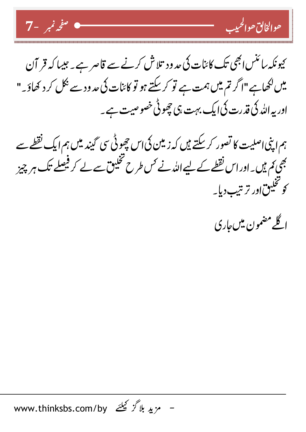صفحد تمير -7 $\sim$ 



ہم اپنی اصلیت کا تصور کرسکتے ہیں کہ زمین کی اس چھوٹی سی گیند میں ہم ایک نقطے سے بھی <sub>ک</sub>م ہیں۔اوراس نقطے کے لیے اللہ نے <sup>کس</sup> طرح تخییق سے لے کر فیصلے تک ہر چیز کوتخیین اور ترتیب دیا۔

اگلے مضمون میں عاری

حوالخالق حوالحييب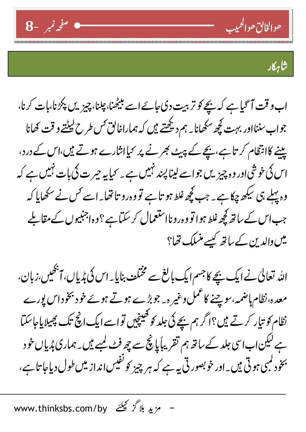



اب و قت آ گیا ہے کہ بچے کو تربیت دی جائے اسے بیٹھنا، چیز بی پیز پلانا،بات کرنا، جواب سننااور بہت کچھ سکھانا۔ ہم دیکھتے ہیں کہ ہماراخالق <sup>کس</sup> طرح لیٹتے و قت کھانا پینے کاانتظام کر تاہے،پیچے کے پیٹ بھرنے پر کیاانثارے ہوتے ہیں،اس کے درد، وہ پہلے ہی سکھ چکاہے ۔ جب کچھ غلط ہو تاہے تووہ رو تاتھا۔اسے کس نے سکھایا کہ جب اس کے ساتھ کچھ غلط ہوا تو وہ رونااستعمال کر سکتاہے؟وہ اجنبیوں کے مقابلے میں والدین کے ساتھ کیسے منسلک تھا؟

اللہ تعالیٰ نے ایک بیچے کا جسم ایک بالغ سے مختلف بنایا۔ اس کی پُریاں، آنھیں،زبان، معدہ،نظام ہاضمہ،سوچنے کاعمل وغیر ہ۔ جوبڑے ہوتے ہوئے خود بخوداس پورے نظام کو تیار کرتے ہیں؟اگر ہم بیچے کی جلد کو کھینچیں تواسے ایک انچ تک پھیلایاحاسکتا ہے لیکن اب اسی جلد کے ساتھ ہم تقریباً پانچ سے چھ فٹ کمپے ہیں۔ ہماری پُریاں خو د بخود کمبی ہو تی ہیں۔اور خوبصور تی پہ ہے کہ ہر چیز کو نفیس انداز میں طول دیاجا تا ہے،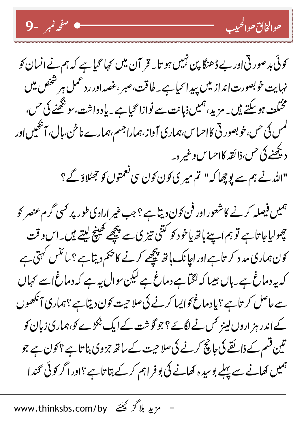| عوالخالق عوالحيب | صحيح المستخدم المستخدم على نمبر المستخدم المستخدم المستخدم المستخدم المستخدم المستخدم المس

کوئی بد صورتی اور بے ڈھنگا پن نہیں ہو تا۔ قر آن میں کہا گیاہے کہ ہم نے انسان کو نہایت خوبصورت انداز میں پیدا کیا ہے۔ طاقت،صبر ،غصہ اور رد عمل ہر شخص میں مختلف ہوسکتے ہیں۔ مزید، ہمیں ذہانت سے نوازا گیا ہے۔ یادداشت، سو کچھنے کی <sup>حس</sup>، لمس کی <sup>حس</sup>،خوبصور ٹی کااحساس،ہماری آواز،ہماراجسم،ہمارے ناخن،بال، آبھیس اور ديھُنے کی حس،ذائقہ کااحیاس وغیر ہ۔ "الله نے ہم سے لوچھا کہ" تم میر ی کون کون سی نعمتوں کو جھٹلاؤ گے؟

ہمیں فیصلہ کرنے کاشعور اور فن کون دیتا ہے ؟ جب غیر ارادی طور پر <sup>کس</sup>ی گرم عنصر کو چولیاجا تاہے تو ہم اسپنے ہاتھ یاخو د کو کتنی تیز کی سے پیچھے کھینچ لیتے ہیں۔اس و قت کون ہماری مد د کر تاہے اور اپا نک ہاتھ پیچھے کرنے کاحکم دیتا ہے ؟سائنس کہتی ہے کہ پہ دماغ ہے ۔ ہاں جیسا کہ لگتا ہے دماغ ہے لیکن سوال پہ ہے کہ دماغ اسے کہاں سے حاصل کر تاہے ؟ یادماغ کوایسا کرنے کی صلاحیت کون دیتاہے ؟ہماری آنکھوں کےاندر ہز اروں لینز <sup>ک</sup>س نے لگ*ئے ؟ج*وگوشت کے ایک <sup>پ</sup>کڑے *کو،ہم*اری زبان کو تین قسم کے ذائقے کی جانچ کرنے کی صلاحیت کے ساتھ جمزوی بنا تاہے ؟ کو ن ہے جو ہمیں کھانے سے پہلے بو سپد ہ کھانے کی بوفر اہم کر کے بتا تاہے؟اور اگر کوئی گندا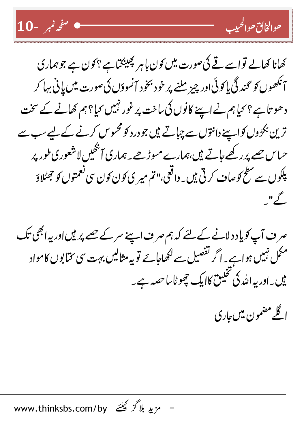



صر ف آپ کوپاد د لانے کے لئے کہ ہم صر ف اپنے سر کے حصے پر ہیں اور یہ ابھی تک مکمل نہیں ہواہے ۔ اگر تفصیل سے لکھاجائے تو پہ مثالیں بہت سی مخابوں کامواد یں۔اور یہ اللہ کی تخییق کاایک چھوٹاساحصہ ہے۔



<u> حوالخانق حوا</u>لحيب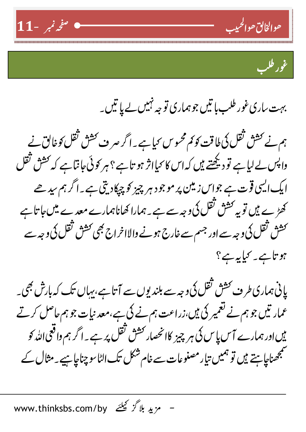

۔<br>غور طل<u>ب</u>

بہت ساری غور طلب ہاتیں جوہماری تو جہ نہیں لے پا تیں۔

ہم نے حش ثقل کی ملاقت کو <sub>تم</sub> محسوس <sub>کی</sub>ا ہے ۔ اگر صرف <sup>کش</sup> ثقل کو خالق نے واپس لے لیا ہے تو دیکھتے ہیں کہ اس کا <sub>ک</sub>مااثر ہو تا ہے ؟ ہر کوئی *جا*نتا ہے کہ کشش ثقل ایک ایسی قوت ہے جواس زمین پر موجو د ہر چیز کو چپکادیتی ہے۔اگر ہم سیدھے کھڑے ہیں تو یہ کش<sup>ی</sup> تقل کی وجہ سے ہے ۔ ہمارا کھاناہمارے معد ے میں *ج*ا تا ہے <sup>کش</sup>ش ثقل کی وجہ سے اور جسم سے غارج ہونے والااخراج بھی کش<sup>ش</sup> ثقل کی وجہ سے ہو تاہے۔ کیا یہ ہے؟

پانی ہماری طرف کشش تقل کی وجہ سے بلند پوں سے آتا ہے، بہاں تک کہ بارش بھی۔ عمار تیں جو ہم نے تعمیر کی ہیں،زراعت ہم نے کی ہے،معد نیات جو ہم حاصل کرتے <sup>ہیں</sup> اور ہمارے آس پاس کی ہر چیز کاانحصار <sup>کش</sup> ثقل پر ہے۔اگر ہم واقعی <sub>اللّٰہ</sub> کو سمجھناچاہتے ہیں تو ہمیں تیار مصنوعات سے خام شکل تک الٹا <sub>ک</sub>و چناچاہیے۔مثال کے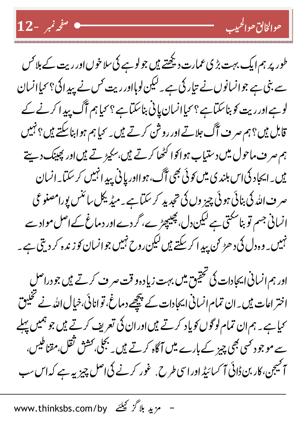| حوالتان حوالحيب | <del>مسلم المسلمة المسلمة من المسلمة من المسلمة المسلمة المسلمة المسلمة المسلمة المسلمة المسلمة ال</del>



طور پر ہم ایک بہت بڑی عمارت دیکھتے ہیں جو لوہے کی سلا خوں اور ریت کے بلا <sup>کس</sup> سے بنی ہے جوانسانوں نے تیار کی ہے ۔ لیکن لوہااور ریت <sup>کس</sup> نے پیدائ<sup>ی ؟</sup> <sup>ک</sup>یاانسان لوہےاور ریت کو بناسکتاہے؟ کیاانسان پانی بناسکتاہے؟ کیاہم آگ پیدا کرنے کے قابل ہیں؟ہم صرف آگ جلاتے اور روشن کرتے ہیں۔ <sub>ک</sub>ما ہم ہوا بناسکتے ہیں؟ نہیں ہم صر ف ماحول میں د ستیاب ہواکوا کٹھا کرتے ہیں،سکیڑ تے ہیں اور پھینک دیئے ہیں۔ایجاد کی اس بلندی میں کوئی بھی آگ، ہوااور پانی پیدا نہیں کر سکتا۔انسان صر ف اللہ کی بنائی ہوئی چیز وں کی تجدید کر سکتاہے ۔میڈیکل سائنس پورامصنو عی انسانی جسم تو بناسکتی ہے لیکن دل، پھیپچڑے، گر دے اور دماغ کے اصل مواد سے نہیں <sub>۔</sub> وہ دل کی د ھڑ <sup>ہ</sup>ی پید ا کر سکتے ہیں لیکن روح نہیں جوانسان کو زندہ کر دیتی ہے ۔

اور ہم انسانی ایجادات کی تحقیق میں بہت زیادہ و قت سر ف کرتے ہیں جو دراصلِ اختر اعات میں۔ان تمام انسانی ایجادات کے پیچھے دماغ، تو انائی،خیال اللہ نے تخلیق <sup>س</sup>ماہے ۔ ہم ان تمام لوگوں کو یاد کرتے ہیں اور ان کی تعریف کرتے ہیں جو ہمیں پہلے سے موجود <sup>کس</sup>ی بھج پیز کے بارے میں آگاہ کرتے ہیں۔ بجلی <sup>ر</sup>کش<sup>ی قت</sup>ل،مقناطیس*،* آ کیجن، کار بن ڈائی آ کسائیڈ اورا سی طرح. غور کرنے کی اصل چیز پہ ہے کہ اس سب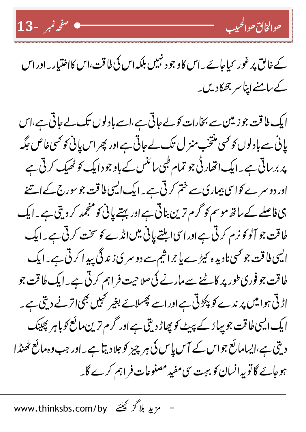



## کے خالق پر غور نحیا جائے۔اس کاو جو د نہیں بلکہ اس کی طاقت،اس کااختیار۔اوراس کے سامنے اپنا سر جھکادیں۔

ایک طاقت جوزیتن سے بخارات کولے جاتی ہے،اسے بادلوں تک لے جاتی ہے،اس پانی سے بادلوں کو تھی منتخب منز ل تک لے جاتی ہے اور پھر اس پانی کو تھی غاص جگہ پر بر ساتی ہے ۔ایک اتھار ٹی جو تمام طبی سائنس کے باو جو دایک *کو ٹھیک کر*تی ہے اور دو سرے کواسی بیماری سے ختم کر تی ہے ۔ ایک ایسی طاقت جو سورج کے اتنے ہی فاصلے کے ساتھ موسم کو گرم ترین بناتی ہے اور بہتے پانی کو منجمد کر دیتی ہے ۔ایک ل<sub>ٹا</sub> قت جو آلو *کو ذم کر*تی ہے اور اسی ابلتے پانی میں انڈے *کو سخت کر*تی ہے ۔ ایک ایسی طاقت جو <sup>کس</sup>ی نادید ہ کیڑے یا جراشیم سے دو سر <sub>کیا</sub>ز ند گی پید ا کر ٹی ہے۔ایک ل**لاقت جو فوری <sub>طور پر کا**ٹنے سے مارنے کی صلاحیت فراہم کر ٹی ہے ۔ ایک طاقت جو</sub> اڑتی ہوامیں پر ندے کو پکڑتی ہے اور اسے پھسلائے بغیر کہیں بھی اتر نے دیتی ہے۔ ایک ایسی طاقت جو بہاڑ کے پہیٹ کو پھاڑ دیتی ہے اور گرم ترین مائع کو با ہر پھینک دیتی ہے،ایسامائع جواس کے آس پاس کی ہر چیز کو جلادیتا ہے۔اور جب وہ مائع ٹھنڈا ہوجائے گا تو یہ انسان کو بہت سی مفید مصنوعات فراہم کرے گا۔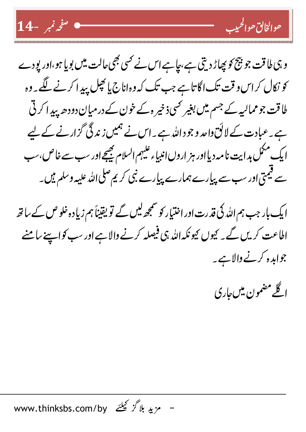



ایک بار جب ہم اللہ کی قدرت اور اختیار کو سمجھ لیں گے تو یقیناً ہم زیادہ خلو ص کے ساتھ اطاعت کر یں گے۔ کیوں کیونکہ اللہ ہی فیصلہ کرنے والاہے اور سب کواپینے سامنے جوابدہ کرنے والاہے یہ

اگلے مضمون میں *جار*ی

<u> حوالخالق حوا</u>لحيب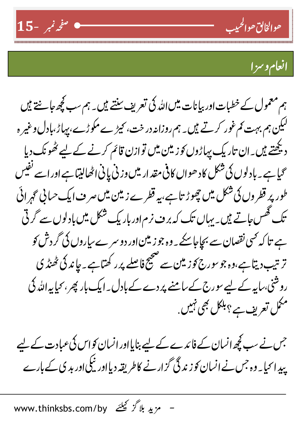



۔ <sub>حوالخا</sub>بی <sub>صوالحبیب</sub>

ہم معمول کے خطبات اور بپانات میں اللہ کی تعریف سنتے ہیں۔ ہم سب کچھ عاشنتے ہیں لیکن ہم بہت کم غور کرتے ہیں۔ ہم روزانہ در خت، کیڑے مکوڑے، بہاڑ،بادل وغیر ہ دیکھتے ہیں۔ان تاریک بیاڑوں کو زیتین میں توازن قائم کرنے کے لیے کٹھونک دیا <sup>س</sup>حیا ہے۔ بادلوں کی شکل کاد ھواں کافی مقدار میں وزنی پانی اٹھالیتا ہے اور اسے نفیس طور پر قطروں کی شکل میں چھوڑ تاہے،پہ قطرے زمین میں سر ف ایک حسانی گہرائی تک گھس جاتے ہیں۔ یہاں تک کہ بر ف نرم اور بار یک شکل میں بادلوں سے گر ٹی ہے تا کہ کسی نقصان سے بچاجاسکے یہ وہ جو زیتن اور دو سرے سیاروں کی گر دش کو تر تیب دیتا ہے،وہ جو سورج کو زمین سے صحیح فاصلے پرر کھتاہے ۔جا ند کی ٹھنڈ ی روشنی،سایہ کے لیے سورج کے سامنے پر دے کے بادل ۔ ایک بار پھر ، <sub>محی</sub>ا بہ اللہ کی مکمل تعریف ہے ؟ بلکل بھی نہیں <sub>.</sub>

جس نے سب کچھ انسان کے فائدے کے لیے بنایااور انسان کو اس کی عبادت کے لیے پیدائیا۔ وہ جس نے انسان کو زندگی گزار نے کاطریقہ دیااور نیکی اور بد ی کے بارے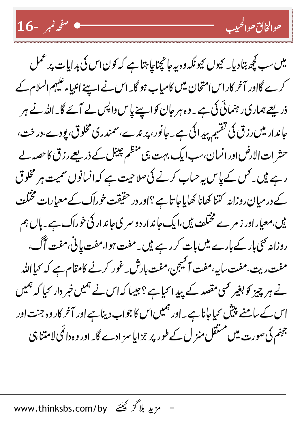16- مُؤنم -16 $-$ 



حوالخالق حوالحبيب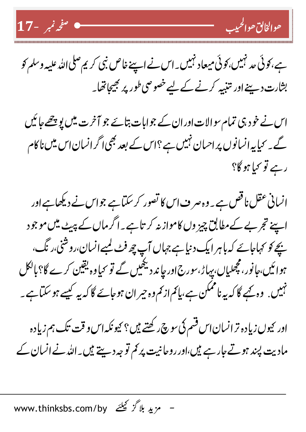



اس نے خود ہی تمام سوالات اور ان کے جوابات بتائے جو آخرت میں پوچھے جا ئیں گے۔ <sub>کی</sub>ا یہ انسانوں پر احسان نہیں ہے ؟اس کے بعد بھی اگر انسان اس میں نا کام رہے تو <sub>کی</sub>ا ہو گا؟

انسانی عقل ناقص ہے ۔ وہ صر ف اس کا تصور کر سکتاہے جواس نے دیکھاہے اور اپنے تجربے کےمطابق چیز وں کاموازیہ کر تاہے۔اگرماں کے پیٹے میں موجود پچے کو کہاجائے کہ باہر ایک دنیا ہے جہاں آپ چھ فٹ لمبےانسان،روشنی،رنگ، ہوا ئیں،<sub>ح</sub>انور، مچھلیاں، پیاڑ، <sub>مور</sub>ج اور چا ند دیکھیں گے تو <sup>س</sup>یا وہ یقین کرے گا؟بالکل نہیں. وہ بجے گا کہ یہ ناممکن ہے،پائم از <sup>ب</sup>م وہ جیر ان ہوجائے گا کہ یہ کیسے ہو سکتا ہے ۔

اور <sup>ب</sup>یوں زیادہ تر انسان اس قسم کی <sub>سوچ رکھتے ہیں؟ <sup>ب</sup>یونکہ اس و قت تک ہم زیادہ</sub> مادیت پند ہوتے جارہے ہیں،اور روحانیت پر کم تو جہ دییتے ہیں۔اللہ نے انسان کے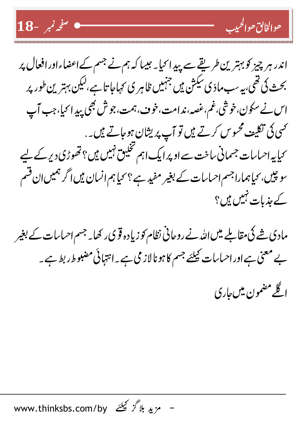



حوالخالق حوالحييب

مادی شے کی مقاملے میں اللہ نے روحانی نظام کو زیادہ قو ی رکھا۔ جسم احساسات کے بغیر بے معنی ہے اور احساسات کیلئے جسم کا ہونالاز می ہے ۔انتہائی مضبوط ربط ہے ۔ <u>اگلے</u> مضمون میں <sub>ج</sub>اری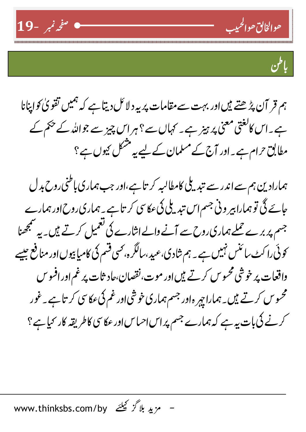



ہم قر آن پڑھتے ہیںاور بہت سےمقامات پر یہ د لائل دیتاہے کہ ہمیں تقویٰ کواپنانا ہے۔اس کالغتی معنی پر ہیز ہے۔ کہاں سے ؟ ہراس چیز سے جواللہ کے حکم کے مطابق حرام ہے۔اور آج کے مسلمان کے لیے یہ مشکل <sub>کیو</sub>ں ہے؟

ہمارادین ہم سے اندر سے تبدیلی کامطالبہ کر تاہے،اور جب ہماری باطنی روح بد ل عائے گی تو ہمارا ہیر ونی جسم اس تندیلی کی عکاسی کر تاہے۔ ہماری روح اور ہمارے جسم پر برے حملے ہماری روح سے آنے والے اثارے کی تعمیل کرتے ہیں۔ یہ سمجھنا کوئی را کٹ سائنس نہیں ہے ۔ ہم شادی،عبیہ،سالگرہ، بھی قسم کی کامیا بیوں اور منافع جیسے واقعات پر خوشی محسوس کرتے ہیں اور موت،نقصان،حاد ثات پر غم اور افسو س محسوس کرتے ہیں۔ہمارا ہیر ہ اور جسم ہماری خوشی اور غم کیءکاسی کر تاہے ۔غور کرنے کی بات یہ ہے کہ ہمارے جسم پر اس احساس اور عکاسی کاطریقہ کار کیا ہے ؟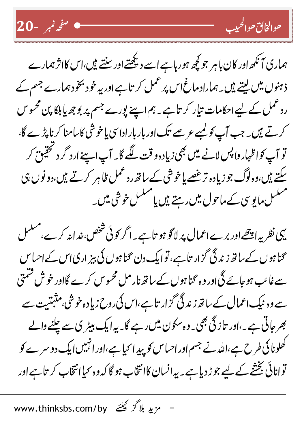



یہی نظر یہ اچھے اور برے اعمال پر لاگو ہو تاہے۔ اگر کوئی شخص خدانہ کرے،منتسل محناہوں کے ساتھ زندگی گزار تاہے، توایک دن محناہوں کی بیز اریاس کےاحساس سے غائب ہو جائے گی اور وہ گنا ہوں کے ساتھ نار مل محسوس کرے گااور خوش فشمتی سے وہ نیک اعمال کے ساتھ زند گی گزار تاہے،اس کی روح زیادہ خوشی،مثبتیت سے بھر جاتی ہے ۔،اور تاز گی بھی۔ وہ سکون میں رہے گا۔ یہ ایک بیٹر ی سے چلنے والے کھلونا کی طرح ہے،اللہ نے جسم اور احساس کو پید ا کیا ہے،اور انہیں ایک دو سرے کو توانائی بخشے کے لیے جوڑ دیا ہے۔ یہ انسان کاانتخاب ہو گا کہ وہ سیاانتخاب کر تاہے اور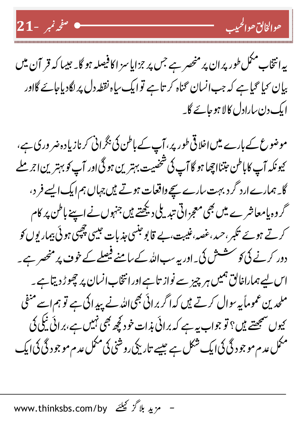



موضوع کے بارے میں اخلاقی طور پر، آپ کے باطن کی بگرانی کرنازیادہ ضر وری ہے، <sup>ی</sup> ونکہ آپ کاباطن عِتنااچھا ہو گا آپ کی شخصیت بہترین ہو گی اور آپ *کو بہتر*ین اجر ملے گا۔ہمارے ارد گرد بہت سارے سیچے واقعات ہوتے ہیں جہاں ہم ایک ایسے فر د، گر وہ پامعاشر ے میں بھی معجزاتی تبدیلی دیکھتے ہیں جنہوں نے اپنے باطن پر کام کرتے ہوئے تکبر،حمد،غصہ،غنیت،بے قابو جنسی جذبات جیسی چچپی ہوئی بیماریوں کو دور کرنے کی کو سشش کی۔اور یہ سب اللہ کے سامنے فیصلے کے خوف پر منھں ہے ۔ اس لیے ہماراخالق ہمیں ہر چیز سے نواز تاہے اور انتخاب انسان پر چھوڑ دیتاہے ۔ ملحدین عموماً یہ سوال کرتے ہیں کہ اگر برائی بھی اللہ نے پید اکی ہے تو ہم اسے منفی <sup>کی</sup>وں سمجھتے ہیں؟ تو جواب بیہ ہے کہ برائی بذات خود کچھ بھی نہیں ہے،برائی ٹیکی کی مکمل عدم مو جو د گی کی ایک شکل ہے جیسے تاریکی روشنی کی مکمل عدم مو جو د گی کی ایک